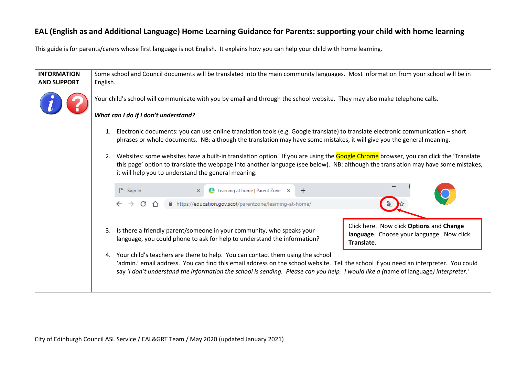## **EAL (English as and Additional Language) Home Learning Guidance for Parents: supporting your child with home learning**

This guide is for parents/carers whose first language is not English. It explains how you can help your child with home learning.

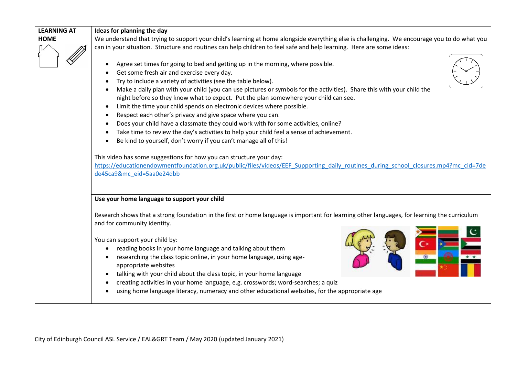| <b>LEARNING AT</b> | Ideas for planning the day                                                                                                                                                                                                              |  |  |  |  |
|--------------------|-----------------------------------------------------------------------------------------------------------------------------------------------------------------------------------------------------------------------------------------|--|--|--|--|
| <b>HOME</b>        | We understand that trying to support your child's learning at home alongside everything else is challenging. We encourage you to do what you                                                                                            |  |  |  |  |
|                    | can in your situation. Structure and routines can help children to feel safe and help learning. Here are some ideas:                                                                                                                    |  |  |  |  |
|                    | Agree set times for going to bed and getting up in the morning, where possible.                                                                                                                                                         |  |  |  |  |
|                    | Get some fresh air and exercise every day.                                                                                                                                                                                              |  |  |  |  |
|                    | Try to include a variety of activities (see the table below).                                                                                                                                                                           |  |  |  |  |
|                    | Make a daily plan with your child (you can use pictures or symbols for the activities). Share this with your child the                                                                                                                  |  |  |  |  |
|                    | night before so they know what to expect. Put the plan somewhere your child can see.                                                                                                                                                    |  |  |  |  |
|                    | Limit the time your child spends on electronic devices where possible.<br>$\bullet$                                                                                                                                                     |  |  |  |  |
|                    | Respect each other's privacy and give space where you can.                                                                                                                                                                              |  |  |  |  |
|                    | Does your child have a classmate they could work with for some activities, online?                                                                                                                                                      |  |  |  |  |
|                    | Take time to review the day's activities to help your child feel a sense of achievement.                                                                                                                                                |  |  |  |  |
|                    | Be kind to yourself, don't worry if you can't manage all of this!                                                                                                                                                                       |  |  |  |  |
|                    | This video has some suggestions for how you can structure your day:<br>https://educationendowmentfoundation.org.uk/public/files/videos/EEF Supporting daily routines during school closures.mp4?mc cid=7de<br>de45ca9&mc eid=5aa0e24dbb |  |  |  |  |
|                    | Use your home language to support your child                                                                                                                                                                                            |  |  |  |  |
|                    | Research shows that a strong foundation in the first or home language is important for learning other languages, for learning the curriculum<br>and for community identity.                                                             |  |  |  |  |
|                    |                                                                                                                                                                                                                                         |  |  |  |  |
|                    | You can support your child by:                                                                                                                                                                                                          |  |  |  |  |
|                    | reading books in your home language and talking about them                                                                                                                                                                              |  |  |  |  |
|                    | researching the class topic online, in your home language, using age-                                                                                                                                                                   |  |  |  |  |
|                    | appropriate websites                                                                                                                                                                                                                    |  |  |  |  |
|                    | talking with your child about the class topic, in your home language                                                                                                                                                                    |  |  |  |  |
|                    | creating activities in your home language, e.g. crosswords; word-searches; a quiz                                                                                                                                                       |  |  |  |  |
|                    | using home language literacy, numeracy and other educational websites, for the appropriate age                                                                                                                                          |  |  |  |  |
|                    |                                                                                                                                                                                                                                         |  |  |  |  |